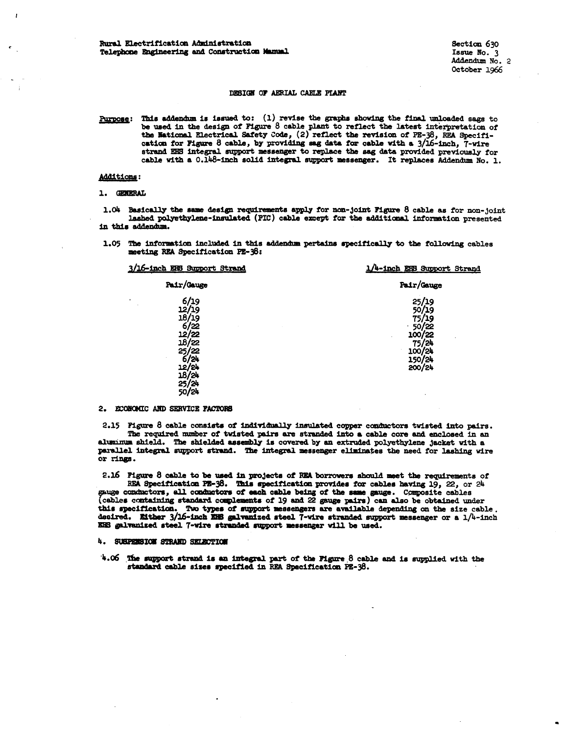### DESIGN OF AERIAL CARLE PLANT

Purpose: This addendum is issued to: (1) revise the graphs showing the final unloaded sags to be used in the design of Figure 8 cable plant to reflect the latest interpretation of the Mational Electrical Safety Code, (2) reflect the revision of PE-38, REA Specification for Figure 8 cable, by providing sag data for cable with a 3/16-inch, 7-wire strand EHS integral support messenger to replace the sag data provided previously for cable with a 0.148-inch solid integral support messenger. It replaces Addendum No. 1.

### **Additions:**

f.

#### 1. GENERAL

1.04 Basically the same design requirements apply for non-joint Figure 8 cable as for non-joint lashed polyethylene-insulated (PIC) cable except for the additional information presented in this addendum.

1.05 The information included in this addendum pertains specifically to the following cables meeting REA Specification PE-38:

| 3/16-inch ERS Support Strand | 1/4-inch EHS Support Strand |  |  |
|------------------------------|-----------------------------|--|--|
| Pair/Gauge                   | Pair/Gauge                  |  |  |
| 6/19<br>12/19<br>$\bullet$   | 25/19                       |  |  |
|                              | 50/19                       |  |  |
| 18/19                        | 19                          |  |  |
| 6/22<br>12/22                | 50/22                       |  |  |
|                              | 100/22                      |  |  |
| 22/<br>18                    | /24                         |  |  |
| 22<br>25,                    | 100/24                      |  |  |
| اح/                          | 150/24<br>200/24            |  |  |
| 12/24                        |                             |  |  |
| 18/24                        |                             |  |  |
|                              |                             |  |  |
| $25/24$<br>50/24             |                             |  |  |

### 2. ECONOMIC AND SERVICE PACTORS

2.15 Figure 8 cable consists of individually insulated copper conductors twisted into pairs. The required number of twisted pairs are stranded into a cable core and enclosed in an alumnum shield. The shielded assembly is covered by an extruded polyethylene jacket with a parallel integral support strand. The integral messenger eliminates the need for lashing wire or rings.

2.16 Figure 8 cable to be used in projects of REA borrowers should meet the requirements of REA Specification PE-38. This specification provides for cables having 19, 22, or 24 gauge conductors, all conductors of each cable being of the same gauge. Composite cables (cables containing standard complements of 19 and 22 gauge pairs) can also be obtained under this specification. Two types of support messengers are available depending on the size cable. desired. Either 3/16-inch EHB galvanized steel 7-wire stranded support messenger or a 1/4-inch EES galvanized steel 7-wire stranded support messenger will be used.

# 4. SUSPERSION STRAND SELECTION

4.06 The support strand is an integral part of the Pigure 8 cable and is supplied with the standard cable sizes specified in REA Specification PE-38.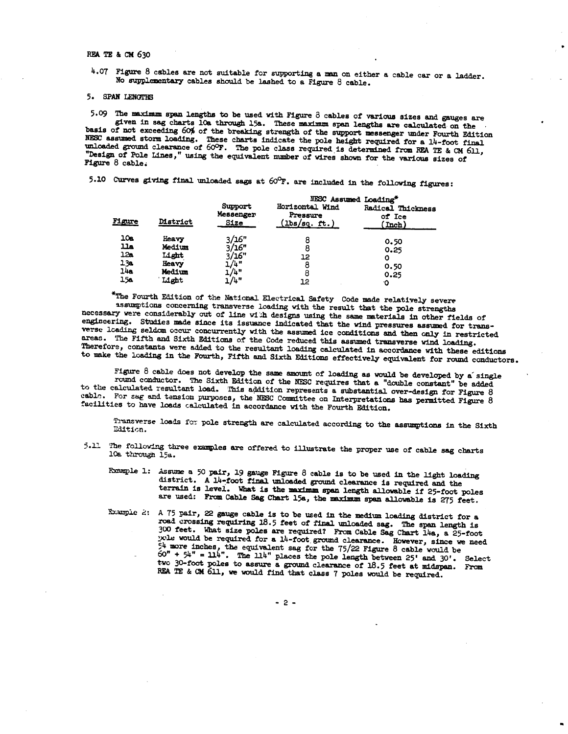#### REA TE & CM 630

4.07 Figure 8 cables are not suitable for supporting a man on either a cable car or a ladder. No supplementary cables should be lashed to a Figure 8 cable.

# 5. SPAN LENGTHS

5.09 The maximum span lengths to be used with Figure 8 cables of various sizes and gauges are given in sag charts loa through 15a. These maximum span lengths are calculated on the basis of not exceeding 60% of the breaking strength of the support messenger under Fourth Edition NESC assumed storm loading. These charts indicate the pole height required for a 14-foot final unloaded ground clearance of 60°F. The pole class required is determined from REA TE & CM 611, "Design of Pole Lines," using the equivalent number of wires shown for the various sizes of Figure 8 cable.

5.10 Curves giving final unloaded sags at  $60^\circ$ F. are included in the following figures:

| Figure | District | Support<br>Messenger<br>Size | NESC Assumed Loading*<br>Horizontal Wind<br>Pressure<br>$(1bs/sq.$ ft.) | Radical Thickness<br>of Ice<br>( Inch ) |
|--------|----------|------------------------------|-------------------------------------------------------------------------|-----------------------------------------|
| 10e    | Heavy    | 3/16"                        |                                                                         |                                         |
| عللا   | Medium   | 3/16"                        |                                                                         | 0.50                                    |
| 12a    | Light    | 1/16"                        |                                                                         | 0.25                                    |
| 13а    | Heavy    | $\pm/4$ "                    | 12                                                                      | O                                       |
| 14e    |          |                              |                                                                         | 0.50                                    |
|        | Medium   | $\frac{1}{4}$ "              |                                                                         | 0.25                                    |
| 15а    | Light    | L/4"                         | 12                                                                      | $\cdot \cap$                            |

\*The Fourth Edition of the National Electrical Safety Code made relatively severe assumptions concerning transverse loading with the result that the pole strengths necessary were considerably out of line with designs using the same materials in other fields of engineering. Studies made since its issuance indicated that the wind pressures assumed for transverse loading seldom occur concurrently with the assumed ice conditions and then only in restricted areas. The Fifth and Sixth Editions of the Code reduced this assumed transverse wind loading. Therefore, constants were added to the resultant loading calculated in accordance with these editions to make the loading in the Fourth, Fifth and Sixth Editions effectively equivalent for round conductors.

Figure 8 cable does not develop the same amount of loading as would be developed by a single round conductor. The Sixth Edition of the NESC requires that a "double constant" be added to the calculated resultant load. This addition represents a substantial over-design for Figure 8 cable. For sag and tension purposes, the NESC Committee on Interpretations has permitted Figure 8 facilities to have loads calculated in accordance with the Fourth Edition.

Transverse loads for pole strength are calculated according to the assumptions in the Sixth Edition.

- 5.11 The following three examples are offered to illustrate the proper use of cable sag charts 10a through 15a.
	- Formple 1: Assume a 50 pair, 19 gauge Figure 8 cable is to be used in the light loading district. A 14-foot final unloaded ground clearance is required and the terrain is level. What is the maximum span length allowable if 25-foot poles are used: From Cable Sag Chart 15a, the maximum span allowable is 275 feet.
	- Example 2: A 75 pair, 22 gauge cable is to be used in the medium loading district for a road crossing requiring 18.5 feet of final unloaded sag. The span length is 300 feet. What size poles are required? From Cable Sag Chart 14a, a 25-foot pole would be required for a 14-foot ground clearance. However, since we need The would be required for a fit-from ground cheatance. Inverse, since we need  $54$  more inchess, the equivalent sag for the 75/22 Figure 8 cable would be  $50^{\circ} + 54^{\circ} = 114^{\circ}$ . The 114" places the pole length between

 $-2-$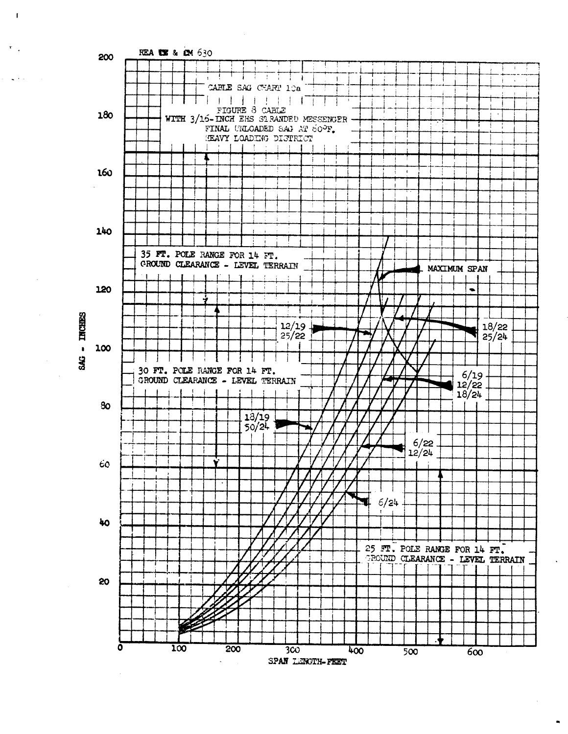

 $\mathbf{I}$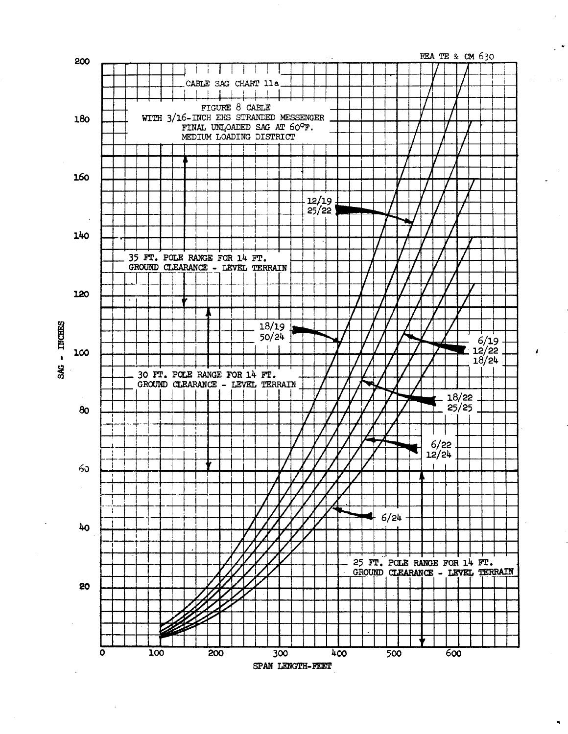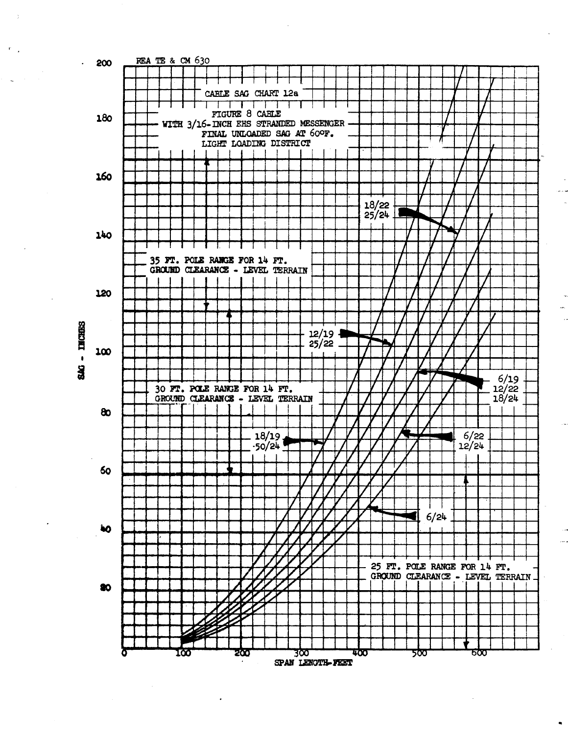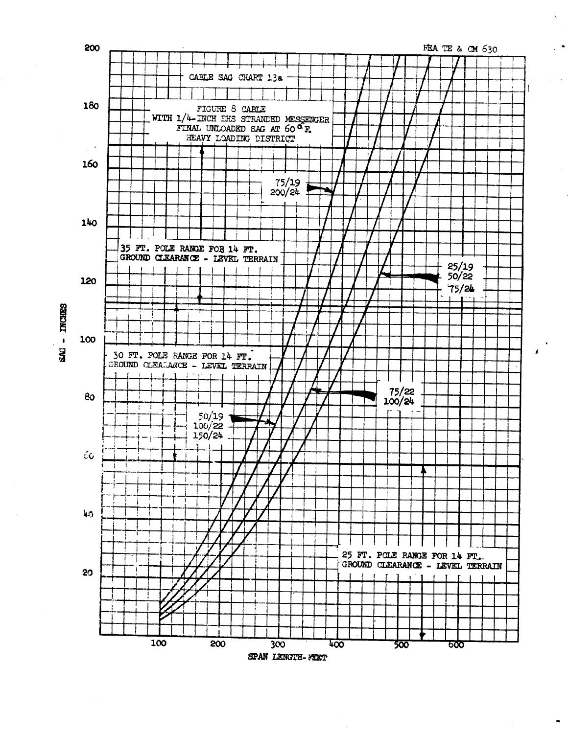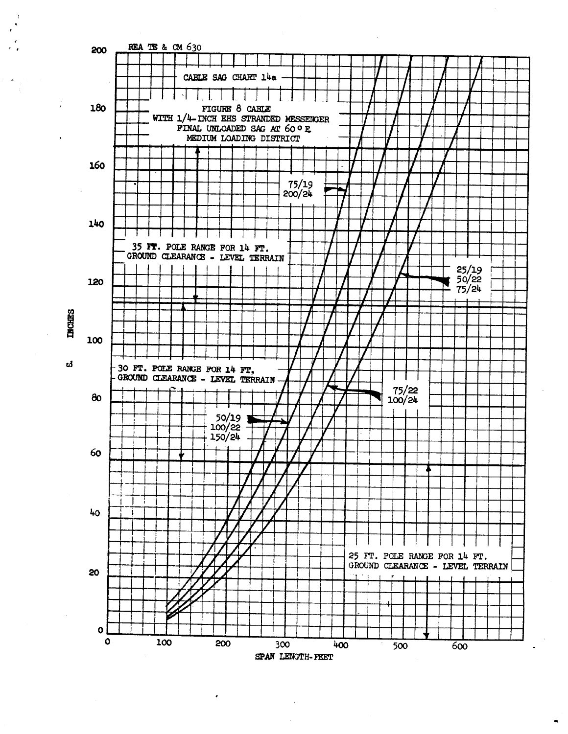